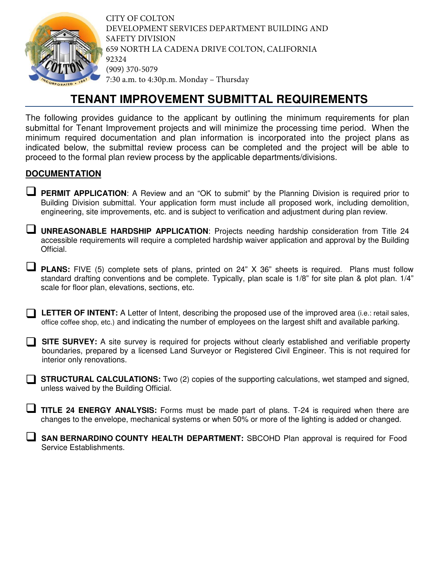

CITY OF COLTON DEVELOPMENT SERVICES DEPARTMENT BUILDING AND SAFETY DIVISION 659 NORTH LA CADENA DRIVE COLTON, CALIFORNIA 92324 (909) 370-5079 7:30 a.m. to 4:30p.m. Monday – Thursday

## **TENANT IMPROVEMENT SUBMITTAL REQUIREMENTS**

The following provides guidance to the applicant by outlining the minimum requirements for plan submittal for Tenant Improvement projects and will minimize the processing time period. When the minimum required documentation and plan information is incorporated into the project plans as indicated below, the submittal review process can be completed and the project will be able to proceed to the formal plan review process by the applicable departments/divisions.

## **DOCUMENTATION**

- **PERMIT APPLICATION:** A Review and an "OK to submit" by the Planning Division is required prior to Building Division submittal. Your application form must include all proposed work, including demolition, engineering, site improvements, etc. and is subject to verification and adjustment during plan review.
- **UNREASONABLE HARDSHIP APPLICATION**: Projects needing hardship consideration from Title 24 accessible requirements will require a completed hardship waiver application and approval by the Building Official.
- **PLANS:** FIVE (5) complete sets of plans, printed on 24" X 36" sheets is required. Plans must follow standard drafting conventions and be complete. Typically, plan scale is 1/8" for site plan & plot plan. 1/4" scale for floor plan, elevations, sections, etc.
- **LETTER OF INTENT:** A Letter of Intent, describing the proposed use of the improved area (i.e.: retail sales, office coffee shop, etc.) and indicating the number of employees on the largest shift and available parking.
- **SITE SURVEY:** A site survey is required for projects without clearly established and verifiable property boundaries, prepared by a licensed Land Surveyor or Registered Civil Engineer. This is not required for interior only renovations.
- **STRUCTURAL CALCULATIONS:** Two (2) copies of the supporting calculations, wet stamped and signed, unless waived by the Building Official.
- **TITLE 24 ENERGY ANALYSIS:** Forms must be made part of plans. T-24 is required when there are changes to the envelope, mechanical systems or when 50% or more of the lighting is added or changed.

 **SAN BERNARDINO COUNTY HEALTH DEPARTMENT:** SBCOHD Plan approval is required for Food Service Establishments.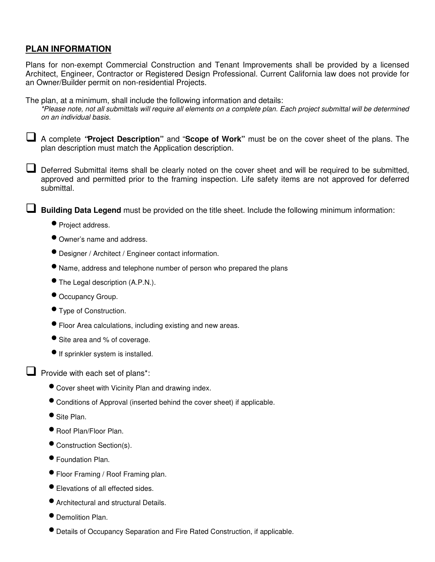## **PLAN INFORMATION**

Plans for non-exempt Commercial Construction and Tenant Improvements shall be provided by a licensed Architect, Engineer, Contractor or Registered Design Professional. Current California law does not provide for an Owner/Builder permit on non-residential Projects.

The plan, at a minimum, shall include the following information and details:

\*Please note, not all submittals will require all elements on a complete plan. Each project submittal will be determined on an individual basis.

 A complete **"Project Description"** and "**Scope of Work"** must be on the cover sheet of the plans. The plan description must match the Application description.

Deferred Submittal items shall be clearly noted on the cover sheet and will be required to be submitted, approved and permitted prior to the framing inspection. Life safety items are not approved for deferred submittal.

**Building Data Legend** must be provided on the title sheet. Include the following minimum information:

- Project address.
- Owner's name and address.
- Designer / Architect / Engineer contact information.
- Name, address and telephone number of person who prepared the plans
- The Legal description (A.P.N.).
- Occupancy Group.
- Type of Construction.
- Floor Area calculations, including existing and new areas.
- Site area and % of coverage.
- **•** If sprinkler system is installed.

 $\Box$  Provide with each set of plans\*:

- Cover sheet with Vicinity Plan and drawing index.
- Conditions of Approval (inserted behind the cover sheet) if applicable.
- Site Plan.
- Roof Plan/Floor Plan.
- Construction Section(s).
- Foundation Plan.
- Floor Framing / Roof Framing plan.
- Elevations of all effected sides.
- Architectural and structural Details.
- Demolition Plan.
- Details of Occupancy Separation and Fire Rated Construction, if applicable.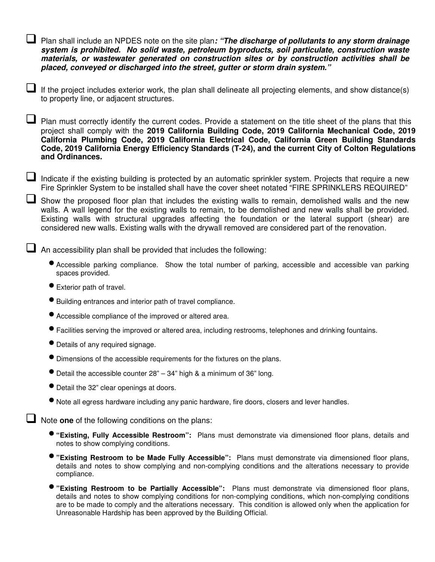Plan shall include an NPDES note on the site plan**: "The discharge of pollutants to any storm drainage system is prohibited. No solid waste, petroleum byproducts, soil particulate, construction waste materials, or wastewater generated on construction sites or by construction activities shall be placed, conveyed or discharged into the street, gutter or storm drain system."**

If the project includes exterior work, the plan shall delineate all projecting elements, and show distance(s) to property line, or adjacent structures.

 $\Box$  Plan must correctly identify the current codes. Provide a statement on the title sheet of the plans that this project shall comply with the **2019 California Building Code, 2019 California Mechanical Code, 2019 California Plumbing Code, 2019 California Electrical Code, California Green Building Standards Code, 2019 California Energy Efficiency Standards (T-24), and the current City of Colton Regulations and Ordinances.**

 $\Box$  Indicate if the existing building is protected by an automatic sprinkler system. Projects that require a new Fire Sprinkler System to be installed shall have the cover sheet notated "FIRE SPRINKLERS REQUIRED"

Show the proposed floor plan that includes the existing walls to remain, demolished walls and the new walls. A wall legend for the existing walls to remain, to be demolished and new walls shall be provided. Existing walls with structural upgrades affecting the foundation or the lateral support (shear) are considered new walls. Existing walls with the drywall removed are considered part of the renovation.

 $\Box$  An accessibility plan shall be provided that includes the following:

- Accessible parking compliance. Show the total number of parking, accessible and accessible van parking spaces provided.
- Exterior path of travel.
- Building entrances and interior path of travel compliance.
- Accessible compliance of the improved or altered area.
- Facilities serving the improved or altered area, including restrooms, telephones and drinking fountains.
- Details of any required signage.
- Dimensions of the accessible requirements for the fixtures on the plans.
- $\bullet$  Detail the accessible counter 28" 34" high & a minimum of 36" long.
- Detail the 32" clear openings at doors.
- Note all egress hardware including any panic hardware, fire doors, closers and lever handles.

**Note one** of the following conditions on the plans:

- **"Existing, Fully Accessible Restroom":** Plans must demonstrate via dimensioned floor plans, details and notes to show complying conditions.
- **"Existing Restroom to be Made Fully Accessible":** Plans must demonstrate via dimensioned floor plans, details and notes to show complying and non-complying conditions and the alterations necessary to provide compliance.
- **"Existing Restroom to be Partially Accessible":** Plans must demonstrate via dimensioned floor plans, details and notes to show complying conditions for non-complying conditions, which non-complying conditions are to be made to comply and the alterations necessary. This condition is allowed only when the application for Unreasonable Hardship has been approved by the Building Official.